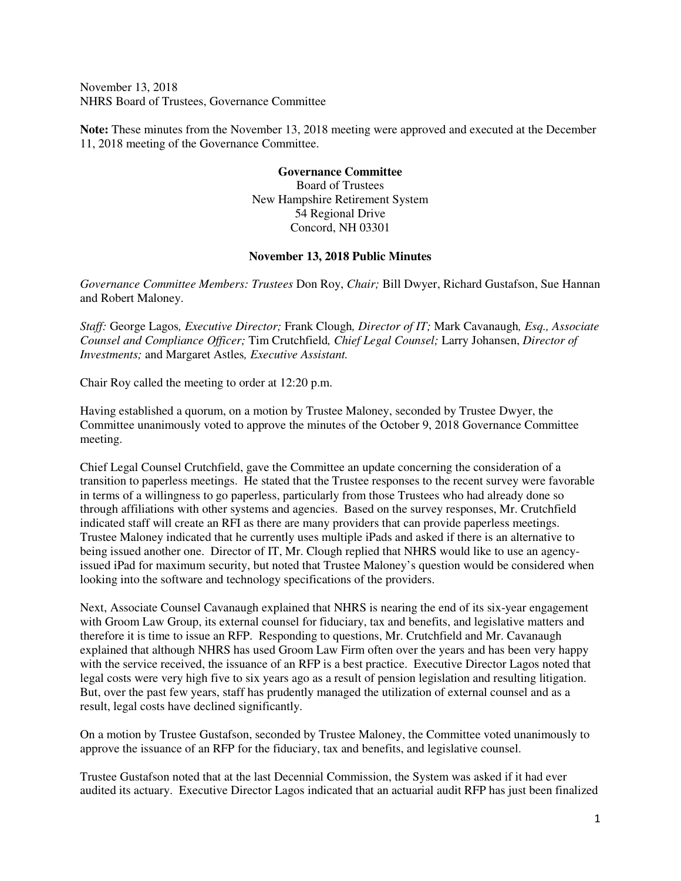November 13, 2018 NHRS Board of Trustees, Governance Committee

**Note:** These minutes from the November 13, 2018 meeting were approved and executed at the December 11, 2018 meeting of the Governance Committee.

> **Governance Committee**  Board of Trustees New Hampshire Retirement System 54 Regional Drive Concord, NH 03301

## **November 13, 2018 Public Minutes**

*Governance Committee Members: Trustees* Don Roy, *Chair;* Bill Dwyer, Richard Gustafson, Sue Hannan and Robert Maloney.

*Staff:* George Lagos*, Executive Director;* Frank Clough*, Director of IT;* Mark Cavanaugh*, Esq., Associate Counsel and Compliance Officer;* Tim Crutchfield*, Chief Legal Counsel;* Larry Johansen, *Director of Investments;* and Margaret Astles*, Executive Assistant.* 

Chair Roy called the meeting to order at 12:20 p.m.

Having established a quorum, on a motion by Trustee Maloney, seconded by Trustee Dwyer, the Committee unanimously voted to approve the minutes of the October 9, 2018 Governance Committee meeting.

Chief Legal Counsel Crutchfield, gave the Committee an update concerning the consideration of a transition to paperless meetings. He stated that the Trustee responses to the recent survey were favorable in terms of a willingness to go paperless, particularly from those Trustees who had already done so through affiliations with other systems and agencies. Based on the survey responses, Mr. Crutchfield indicated staff will create an RFI as there are many providers that can provide paperless meetings. Trustee Maloney indicated that he currently uses multiple iPads and asked if there is an alternative to being issued another one. Director of IT, Mr. Clough replied that NHRS would like to use an agencyissued iPad for maximum security, but noted that Trustee Maloney's question would be considered when looking into the software and technology specifications of the providers.

Next, Associate Counsel Cavanaugh explained that NHRS is nearing the end of its six-year engagement with Groom Law Group, its external counsel for fiduciary, tax and benefits, and legislative matters and therefore it is time to issue an RFP. Responding to questions, Mr. Crutchfield and Mr. Cavanaugh explained that although NHRS has used Groom Law Firm often over the years and has been very happy with the service received, the issuance of an RFP is a best practice. Executive Director Lagos noted that legal costs were very high five to six years ago as a result of pension legislation and resulting litigation. But, over the past few years, staff has prudently managed the utilization of external counsel and as a result, legal costs have declined significantly.

On a motion by Trustee Gustafson, seconded by Trustee Maloney, the Committee voted unanimously to approve the issuance of an RFP for the fiduciary, tax and benefits, and legislative counsel.

Trustee Gustafson noted that at the last Decennial Commission, the System was asked if it had ever audited its actuary. Executive Director Lagos indicated that an actuarial audit RFP has just been finalized